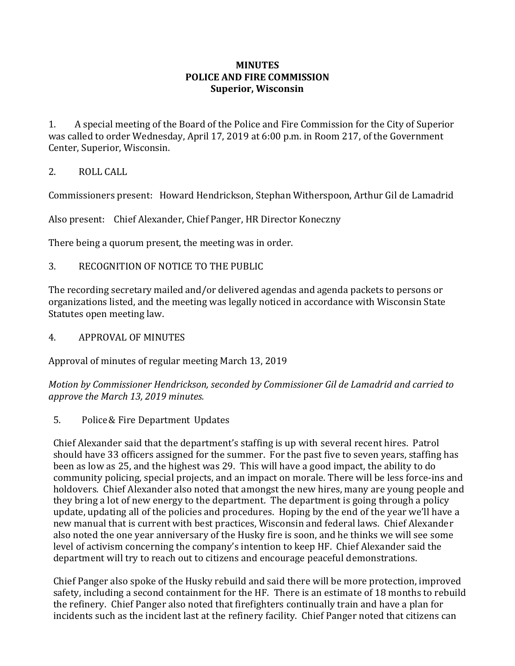## **MINUTES POLICE AND FIRE COMMISSION Superior, Wisconsin**

1. A special meeting of the Board of the Police and Fire Commission for the City of Superior was called to order Wednesday, April 17, 2019 at 6:00 p.m. in Room 217, of the Government Center, Superior, Wisconsin.

## 2. ROLL CALL

Commissioners present: Howard Hendrickson, Stephan Witherspoon, Arthur Gil de Lamadrid

Also present: Chief Alexander, Chief Panger, HR Director Koneczny

There being a quorum present, the meeting was in order.

3. RECOGNITION OF NOTICE TO THE PUBLIC

The recording secretary mailed and/or delivered agendas and agenda packets to persons or organizations listed, and the meeting was legally noticed in accordance with Wisconsin State Statutes open meeting law.

4. APPROVAL OF MINUTES

Approval of minutes of regular meeting March 13, 2019

*Motion by Commissioner Hendrickson, seconded by Commissioner Gil de Lamadrid and carried to approve the March 13, 2019 minutes.*

5. Police& Fire Department Updates

Chief Alexander said that the department's staffing is up with several recent hires. Patrol should have 33 officers assigned for the summer. For the past five to seven years, staffing has been as low as 25, and the highest was 29. This will have a good impact, the ability to do community policing, special projects, and an impact on morale. There will be less force-ins and holdovers. Chief Alexander also noted that amongst the new hires, many are young people and they bring a lot of new energy to the department. The department is going through a policy update, updating all of the policies and procedures. Hoping by the end of the year we'll have a new manual that is current with best practices, Wisconsin and federal laws. Chief Alexander also noted the one year anniversary of the Husky fire is soon, and he thinks we will see some level of activism concerning the company's intention to keep HF. Chief Alexander said the department will try to reach out to citizens and encourage peaceful demonstrations.

Chief Panger also spoke of the Husky rebuild and said there will be more protection, improved safety, including a second containment for the HF. There is an estimate of 18 months to rebuild the refinery. Chief Panger also noted that firefighters continually train and have a plan for incidents such as the incident last at the refinery facility. Chief Panger noted that citizens can